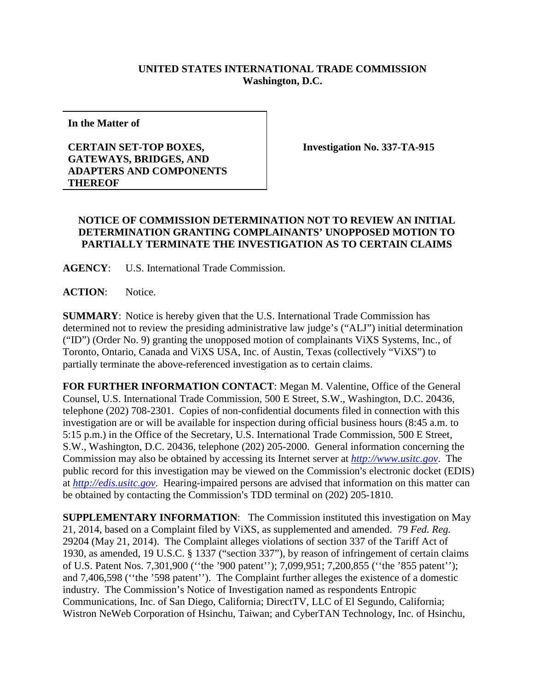## **UNITED STATES INTERNATIONAL TRADE COMMISSION Washington, D.C.**

**In the Matter of**

## **CERTAIN SET-TOP BOXES, GATEWAYS, BRIDGES, AND ADAPTERS AND COMPONENTS THEREOF**

**Investigation No. 337-TA-915**

## **NOTICE OF COMMISSION DETERMINATION NOT TO REVIEW AN INITIAL DETERMINATION GRANTING COMPLAINANTS' UNOPPOSED MOTION TO PARTIALLY TERMINATE THE INVESTIGATION AS TO CERTAIN CLAIMS**

**AGENCY**: U.S. International Trade Commission.

**ACTION**: Notice.

**SUMMARY**: Notice is hereby given that the U.S. International Trade Commission has determined not to review the presiding administrative law judge's ("ALJ") initial determination ("ID") (Order No. 9) granting the unopposed motion of complainants ViXS Systems, Inc., of Toronto, Ontario, Canada and ViXS USA, Inc. of Austin, Texas (collectively "ViXS") to partially terminate the above-referenced investigation as to certain claims.

**FOR FURTHER INFORMATION CONTACT**: Megan M. Valentine, Office of the General Counsel, U.S. International Trade Commission, 500 E Street, S.W., Washington, D.C. 20436, telephone (202) 708-2301. Copies of non-confidential documents filed in connection with this investigation are or will be available for inspection during official business hours (8:45 a.m. to 5:15 p.m.) in the Office of the Secretary, U.S. International Trade Commission, 500 E Street, S.W., Washington, D.C. 20436, telephone (202) 205-2000. General information concerning the Commission may also be obtained by accessing its Internet server at *[http://www.usitc.gov](http://www.usitc.gov/)*. The public record for this investigation may be viewed on the Commission's electronic docket (EDIS) at *[http://edis.usitc.gov](http://edis.usitc.gov/)*. Hearing-impaired persons are advised that information on this matter can be obtained by contacting the Commission's TDD terminal on (202) 205-1810.

**SUPPLEMENTARY INFORMATION**: The Commission instituted this investigation on May 21, 2014, based on a Complaint filed by ViXS, as supplemented and amended. 79 *Fed. Reg.* 29204 (May 21, 2014). The Complaint alleges violations of section 337 of the Tariff Act of 1930, as amended, 19 U.S.C. § 1337 ("section 337"), by reason of infringement of certain claims of U.S. Patent Nos. 7,301,900 (''the '900 patent''); 7,099,951; 7,200,855 (''the '855 patent''); and 7,406,598 (''the '598 patent''). The Complaint further alleges the existence of a domestic industry. The Commission's Notice of Investigation named as respondents Entropic Communications, Inc. of San Diego, California; DirectTV, LLC of El Segundo, California; Wistron NeWeb Corporation of Hsinchu, Taiwan; and CyberTAN Technology, Inc. of Hsinchu,